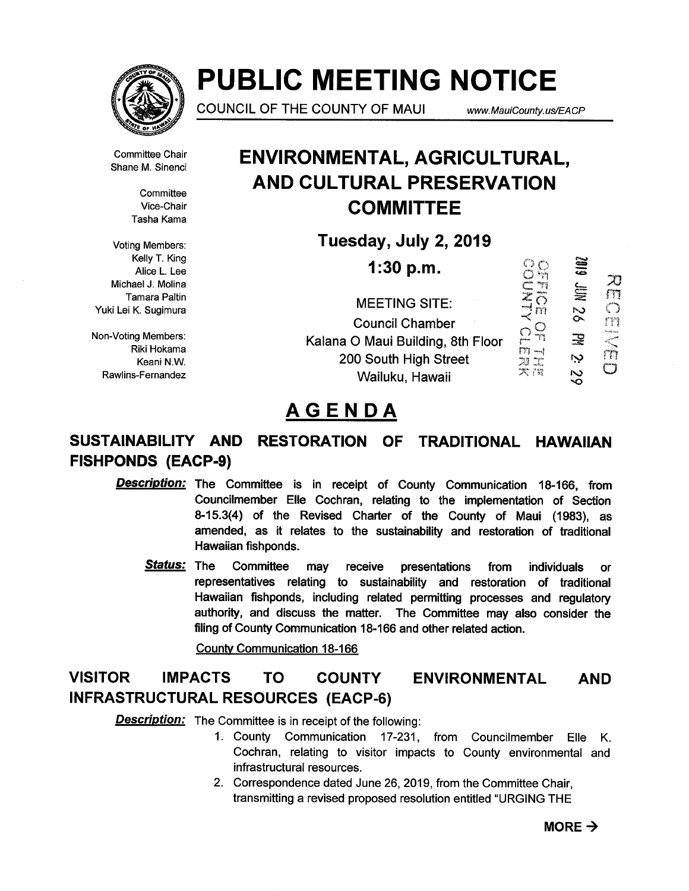

# PUBLIC MEETING NOTICE

COUNCIL OF THE COUNTY OF MAUI www.MauiCounty.us/EACP

 ${\mathcal{X}}$ m  $\bigcirc$ fr:

Committee Chair Shane M. Sinenci

> **Committee** Vice-Chair Tasha Kama

Voting Members: Kelly T. King Alice L. Lee Michael J. Molina Tamara Paltin Yuki Lei K. Sugimura

Non-Voting Members: Riki Hokama Keani N.W. Rawlins-Fernandez

# ENVIRONMENTAL, AGRICULTURAL, AND CULTURAL PRESERVATION **COMMITTEE**

Tuesday, July 2, 2019

**1:30 p.m.**<br>
EETING SITE:<br>  $\begin{array}{ccc}\n\bigcirc & \bigcirc & \bigcirc & \bigcirc \\
\text{EETING SITE:} & \mathbb{Z} & \mathbb{Z} \\
\downarrow & \mathbb{Z} & \mathbb{Z} \\
\downarrow & \mathbb{Z}\n\end{array}$ 6 ID) MEETING SITE Council Chamber<br>
O Maui Building, 8th Floor<br>  $\begin{matrix} 0 & 0 \\ 0 & \cdots \end{matrix}$   $\begin{matrix} 0 & \cdots \end{matrix}$   $\begin{matrix} 0 & \cdots \end{matrix}$   $\begin{matrix} 0 & \cdots \end{matrix}$   $\begin{matrix} 0 & \cdots \end{matrix}$   $\begin{matrix} 0 & \cdots \end{matrix}$   $\begin{matrix} 0 & \cdots \end{matrix}$   $\begin{matrix} 0 & \cdots \end{matrix}$ rn 宝 Kalana 0 Maui Building, 8th Floor Ņ 200 South High Street コ<br>ス語 O  $\overline{\mathcal{S}}$ Wailuku, Hawaii

# AGENDA

# SUSTAINABILITY AND RESTORATION OF TRADITIONAL HAWAIIAN FISHPONDS (EACP-9)

- Description: The Committee is in receipt of County Communication 18-166, from Councilmember Elle Cochran, relating to the implementation of Section 8-15.3(4) of the Revised Charter of the County of Maui (1983), as amended, as it relates to the sustainability and restoration of traditional Hawaiian fishponds.
	- Status: The Committee may receive presentations from individuals or representatives relating to sustainability and restoration of traditional Hawaiian fishponds, including related permitting processes and regulatory authority, and discuss the matter. The Committee may also consider the filing of County Communication 18-166 and other related action.

County Communication 18-166

# VISITOR IMPACTS TO COUNTY ENVIRONMENTAL AND INFRASTRUCTURAL RESOURCES (EACP-6)

**Description:** The Committee is in receipt of the following:

- 1. County Communication 17-231, from Councilmember Elle K. Cochran, relating to visitor impacts to County environmental and infrastructural resources.
- 2. Correspondence dated June 26, 2019, from the Committee Chair, transmitting a revised proposed resolution entitled "URGING THE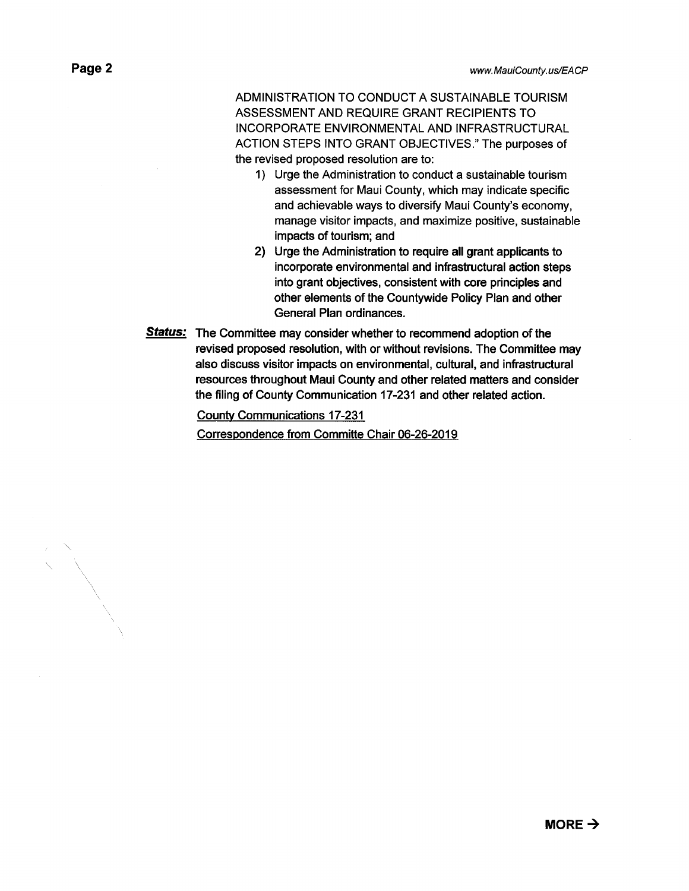ADMINISTRATION TO CONDUCT A SUSTAINABLE TOURISM ASSESSMENT AND REQUIRE GRANT RECIPIENTS TO INCORPORATE ENVIRONMENTAL AND INFRASTRUCTURAL ACTION STEPS INTO GRANT OBJECTIVES." The purposes of the revised proposed resolution are to:

- 1) Urge the Administration to conduct a sustainable tourism assessment for Maui County, which may indicate specific and achievable ways to diversify Maui County's economy, manage visitor impacts, and maximize positive, sustainable impacts of tourism; and
- 2) Urge the Administration to require all grant applicants to incorporate environmental and infrastructural action steps into grant objectives, consistent with core principles and other elements of the Countywide Policy Plan and other General Plan ordinances.
- **Status:** The Committee may consider whether to recommend adoption of the revised proposed resolution, with or without revisions. The Committee may also discuss visitor impacts on environmental, cultural, and infrastructural resources throughout Maui County and other related matters and consider the filing of County Communication 17-231 and other related action.

County Communications 17-231

Correspondence from Committe Chair 06-26-2019